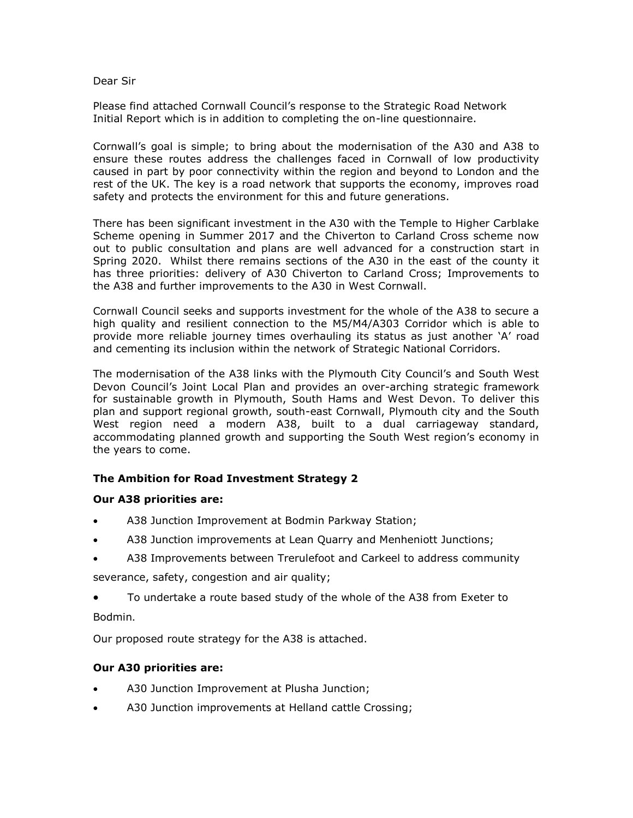#### Dear Sir

Please find attached Cornwall Council's response to the Strategic Road Network Initial Report which is in addition to completing the on-line questionnaire.

Cornwall's goal is simple; to bring about the modernisation of the A30 and A38 to ensure these routes address the challenges faced in Cornwall of low productivity caused in part by poor connectivity within the region and beyond to London and the rest of the UK. The key is a road network that supports the economy, improves road safety and protects the environment for this and future generations.

There has been significant investment in the A30 with the Temple to Higher Carblake Scheme opening in Summer 2017 and the Chiverton to Carland Cross scheme now out to public consultation and plans are well advanced for a construction start in Spring 2020. Whilst there remains sections of the A30 in the east of the county it has three priorities: delivery of A30 Chiverton to Carland Cross; Improvements to the A38 and further improvements to the A30 in West Cornwall.

Cornwall Council seeks and supports investment for the whole of the A38 to secure a high quality and resilient connection to the M5/M4/A303 Corridor which is able to provide more reliable journey times overhauling its status as just another 'A' road and cementing its inclusion within the network of Strategic National Corridors.

The modernisation of the A38 links with the Plymouth City Council's and South West Devon Council's Joint Local Plan and provides an over-arching strategic framework for sustainable growth in Plymouth, South Hams and West Devon. To deliver this plan and support regional growth, south-east Cornwall, Plymouth city and the South West region need a modern A38, built to a dual carriageway standard, accommodating planned growth and supporting the South West region's economy in the years to come.

## **The Ambition for Road Investment Strategy 2**

#### **Our A38 priorities are:**

- A38 Junction Improvement at Bodmin Parkway Station;
- A38 Junction improvements at Lean Quarry and Menheniott Junctions;
- A38 Improvements between Trerulefoot and Carkeel to address community

severance, safety, congestion and air quality;

 To undertake a route based study of the whole of the A38 from Exeter to Bodmin.

Our proposed route strategy for the A38 is attached.

## **Our A30 priorities are:**

- A30 Junction Improvement at Plusha Junction;
- A30 Junction improvements at Helland cattle Crossing;